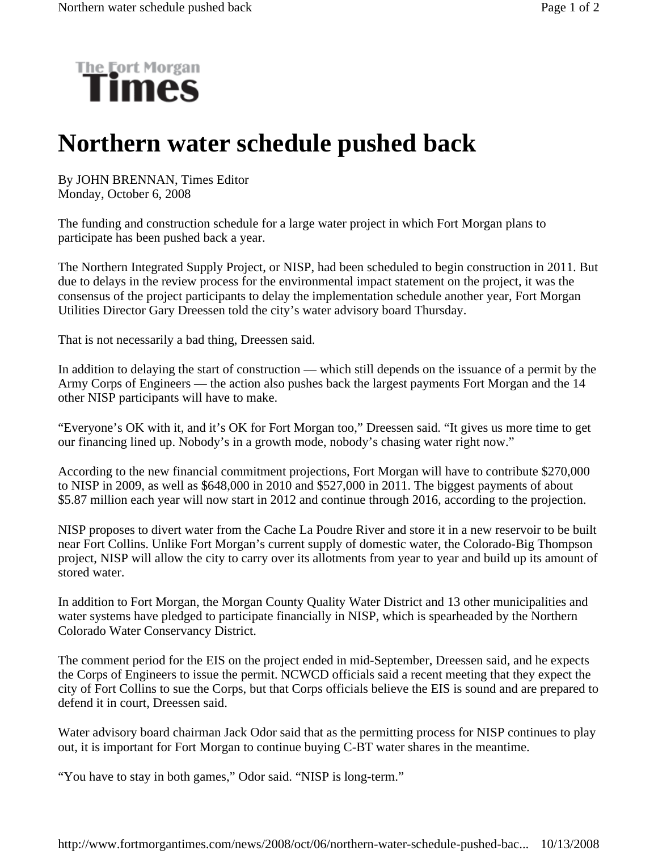

## **Northern water schedule pushed back**

By JOHN BRENNAN, Times Editor Monday, October 6, 2008

The funding and construction schedule for a large water project in which Fort Morgan plans to participate has been pushed back a year.

The Northern Integrated Supply Project, or NISP, had been scheduled to begin construction in 2011. But due to delays in the review process for the environmental impact statement on the project, it was the consensus of the project participants to delay the implementation schedule another year, Fort Morgan Utilities Director Gary Dreessen told the city's water advisory board Thursday.

That is not necessarily a bad thing, Dreessen said.

In addition to delaying the start of construction — which still depends on the issuance of a permit by the Army Corps of Engineers — the action also pushes back the largest payments Fort Morgan and the 14 other NISP participants will have to make.

"Everyone's OK with it, and it's OK for Fort Morgan too," Dreessen said. "It gives us more time to get our financing lined up. Nobody's in a growth mode, nobody's chasing water right now."

According to the new financial commitment projections, Fort Morgan will have to contribute \$270,000 to NISP in 2009, as well as \$648,000 in 2010 and \$527,000 in 2011. The biggest payments of about \$5.87 million each year will now start in 2012 and continue through 2016, according to the projection.

NISP proposes to divert water from the Cache La Poudre River and store it in a new reservoir to be built near Fort Collins. Unlike Fort Morgan's current supply of domestic water, the Colorado-Big Thompson project, NISP will allow the city to carry over its allotments from year to year and build up its amount of stored water.

In addition to Fort Morgan, the Morgan County Quality Water District and 13 other municipalities and water systems have pledged to participate financially in NISP, which is spearheaded by the Northern Colorado Water Conservancy District.

The comment period for the EIS on the project ended in mid-September, Dreessen said, and he expects the Corps of Engineers to issue the permit. NCWCD officials said a recent meeting that they expect the city of Fort Collins to sue the Corps, but that Corps officials believe the EIS is sound and are prepared to defend it in court, Dreessen said.

Water advisory board chairman Jack Odor said that as the permitting process for NISP continues to play out, it is important for Fort Morgan to continue buying C-BT water shares in the meantime.

"You have to stay in both games," Odor said. "NISP is long-term."